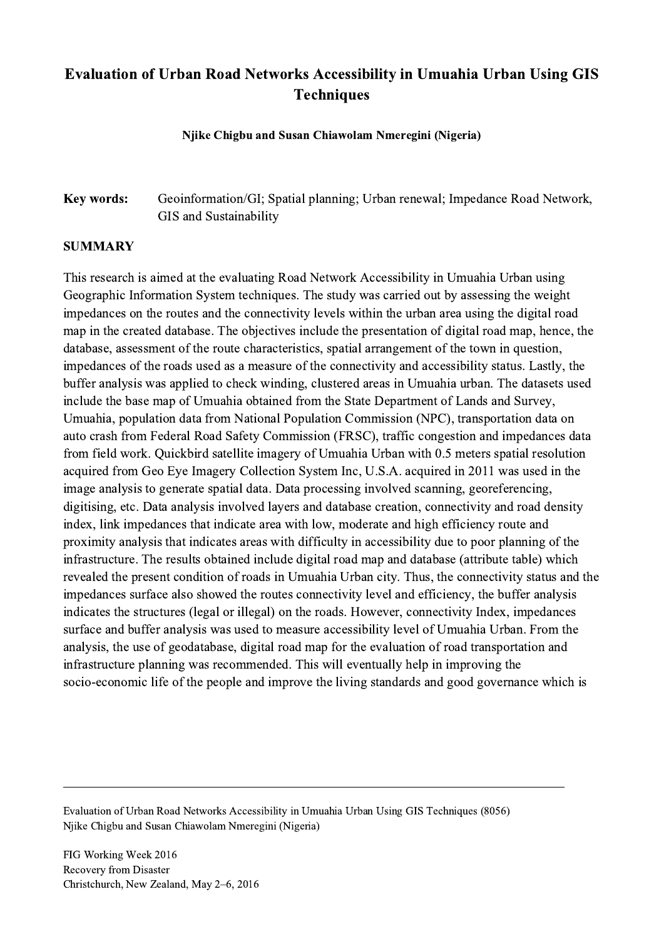## Evaluation of Urban Road Networks Accessibility in Umuahia Urban Using GIS **Techniques**

Njike Chigbu and Susan Chiawolam Nmeregini (Nigeria)

## Key words: Geoinformation/GI; Spatial planning; Urban renewal; Impedance Road Network, GIS and Sustainability

## **SUMMARY**

This research is aimed at the evaluating Road Network Accessibility in Umuahia Urban using Geographic Information System techniques. The study was carried out by assessing the weight impedances on the routes and the connectivity levels within the urban area using the digital road map in the created database. The objectives include the presentation of digital road map, hence, the database, assessment of the route characteristics, spatial arrangement of the town in question, impedances of the roads used as a measure of the connectivity and accessibility status. Lastly, the buffer analysis was applied to check winding, clustered areas in Umuahia urban. The datasets used include the base map of Umuahia obtained from the State Department of Lands and Survey, Umuahia, population data from National Population Commission (NPC), transportation data on auto crash from Federal Road Safety Commission (FRSC), traffic congestion and impedances data from field work. Quickbird satellite imagery of Umuahia Urban with 0.5 meters spatial resolution acquired from Geo Eye Imagery Collection System Inc, U.S.A. acquired in 2011 was used in the image analysis to generate spatial data. Data processing involved scanning, georeferencing, digitising, etc. Data analysis involved layers and database creation, connectivity and road density index, link impedances that indicate area with low, moderate and high efficiency route and proximity analysis that indicates areas with difficulty in accessibility due to poor planning of the infrastructure. The results obtained include digital road map and database (attribute table) which revealed the present condition of roads in Umuahia Urban city. Thus, the connectivity status and the impedances surface also showed the routes connectivity level and efficiency, the buffer analysis indicates the structures (legal or illegal) on the roads. However, connectivity Index, impedances surface and buffer analysis was used to measure accessibility level of Umuahia Urban. From the analysis, the use of geodatabase, digital road map for the evaluation of road transportation and infrastructure planning was recommended. This will eventually help in improving the socio-economic life of the people and improve the living standards and good governance which is

Evaluation of Urban Road Networks Accessibility in Umuahia Urban Using GIS Techniques (8056) Njike Chigbu and Susan Chiawolam Nmeregini (Nigeria)

 $\mathcal{L}_\mathcal{L} = \{ \mathcal{L}_\mathcal{L} = \{ \mathcal{L}_\mathcal{L} = \{ \mathcal{L}_\mathcal{L} = \{ \mathcal{L}_\mathcal{L} = \{ \mathcal{L}_\mathcal{L} = \{ \mathcal{L}_\mathcal{L} = \{ \mathcal{L}_\mathcal{L} = \{ \mathcal{L}_\mathcal{L} = \{ \mathcal{L}_\mathcal{L} = \{ \mathcal{L}_\mathcal{L} = \{ \mathcal{L}_\mathcal{L} = \{ \mathcal{L}_\mathcal{L} = \{ \mathcal{L}_\mathcal{L} = \{ \mathcal{L}_\mathcal{$ 

FIG Working Week 2016 Recovery from Disaster Christchurch, New Zealand, May 2–6, 2016